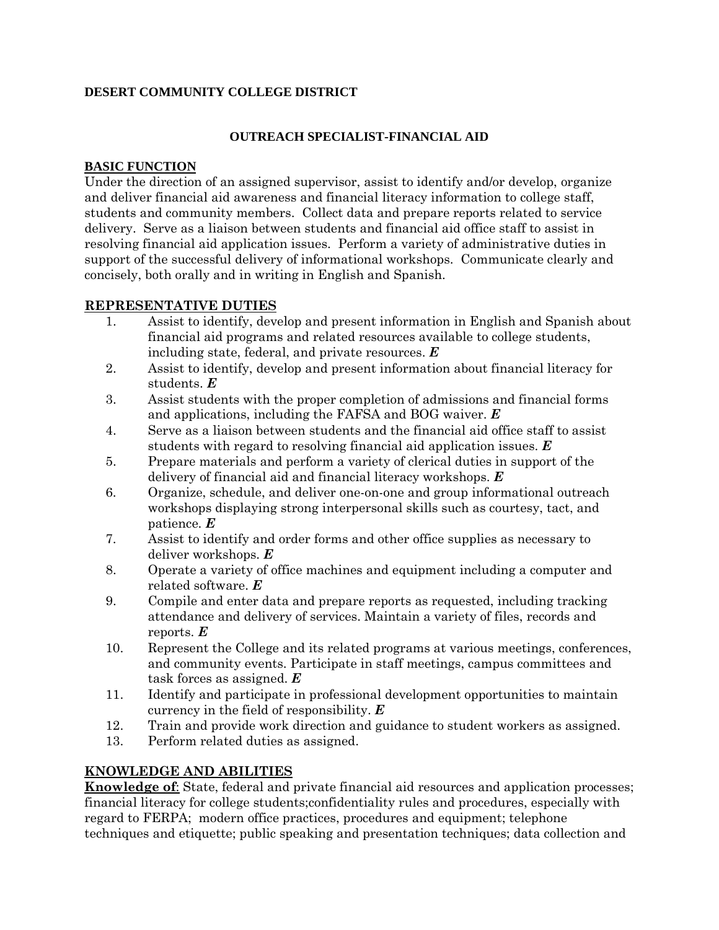## **DESERT COMMUNITY COLLEGE DISTRICT**

## **OUTREACH SPECIALIST-FINANCIAL AID**

## **BASIC FUNCTION**

Under the direction of an assigned supervisor, assist to identify and/or develop, organize and deliver financial aid awareness and financial literacy information to college staff, students and community members. Collect data and prepare reports related to service delivery. Serve as a liaison between students and financial aid office staff to assist in resolving financial aid application issues. Perform a variety of administrative duties in support of the successful delivery of informational workshops. Communicate clearly and concisely, both orally and in writing in English and Spanish.

## **REPRESENTATIVE DUTIES**

- 1. Assist to identify, develop and present information in English and Spanish about financial aid programs and related resources available to college students, including state, federal, and private resources. *E*
- 2. Assist to identify, develop and present information about financial literacy for students. *E*
- 3. Assist students with the proper completion of admissions and financial forms and applications, including the FAFSA and BOG waiver. *E*
- 4. Serve as a liaison between students and the financial aid office staff to assist students with regard to resolving financial aid application issues. *E*
- 5. Prepare materials and perform a variety of clerical duties in support of the delivery of financial aid and financial literacy workshops. *E*
- 6. Organize, schedule, and deliver one-on-one and group informational outreach workshops displaying strong interpersonal skills such as courtesy, tact, and patience. *E*
- 7. Assist to identify and order forms and other office supplies as necessary to deliver workshops. *E*
- 8. Operate a variety of office machines and equipment including a computer and related software. *E*
- 9. Compile and enter data and prepare reports as requested, including tracking attendance and delivery of services. Maintain a variety of files, records and reports. *E*
- 10. Represent the College and its related programs at various meetings, conferences, and community events. Participate in staff meetings, campus committees and task forces as assigned. *E*
- 11. Identify and participate in professional development opportunities to maintain currency in the field of responsibility. *E*
- 12. Train and provide work direction and guidance to student workers as assigned.
- 13. Perform related duties as assigned.

# **KNOWLEDGE AND ABILITIES**

**Knowledge of**: State, federal and private financial aid resources and application processes; financial literacy for college students;confidentiality rules and procedures, especially with regard to FERPA; modern office practices, procedures and equipment; telephone techniques and etiquette; public speaking and presentation techniques; data collection and